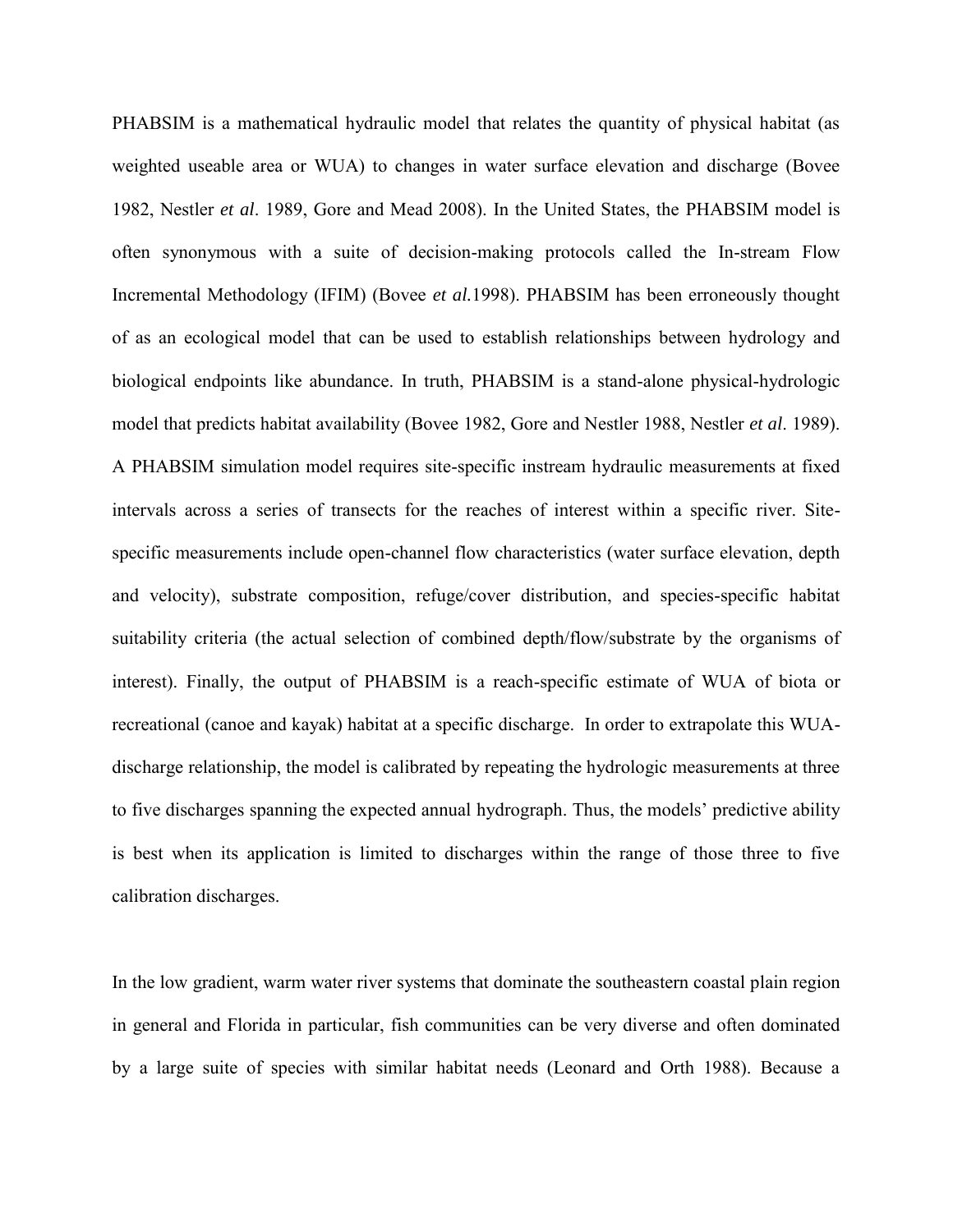PHABSIM is a mathematical hydraulic model that relates the quantity of physical habitat (as weighted useable area or WUA) to changes in water surface elevation and discharge (Bovee 1982, Nestler *et al*. 1989, Gore and Mead 2008). In the United States, the PHABSIM model is often synonymous with a suite of decision-making protocols called the In-stream Flow Incremental Methodology (IFIM) (Bovee *et al.*1998). PHABSIM has been erroneously thought of as an ecological model that can be used to establish relationships between hydrology and biological endpoints like abundance. In truth, PHABSIM is a stand-alone physical-hydrologic model that predicts habitat availability (Bovee 1982, Gore and Nestler 1988, Nestler *et al*. 1989). A PHABSIM simulation model requires site-specific instream hydraulic measurements at fixed intervals across a series of transects for the reaches of interest within a specific river. Sitespecific measurements include open-channel flow characteristics (water surface elevation, depth and velocity), substrate composition, refuge/cover distribution, and species-specific habitat suitability criteria (the actual selection of combined depth/flow/substrate by the organisms of interest). Finally, the output of PHABSIM is a reach-specific estimate of WUA of biota or recreational (canoe and kayak) habitat at a specific discharge. In order to extrapolate this WUAdischarge relationship, the model is calibrated by repeating the hydrologic measurements at three to five discharges spanning the expected annual hydrograph. Thus, the models' predictive ability is best when its application is limited to discharges within the range of those three to five calibration discharges.

In the low gradient, warm water river systems that dominate the southeastern coastal plain region in general and Florida in particular, fish communities can be very diverse and often dominated by a large suite of species with similar habitat needs (Leonard and Orth 1988). Because a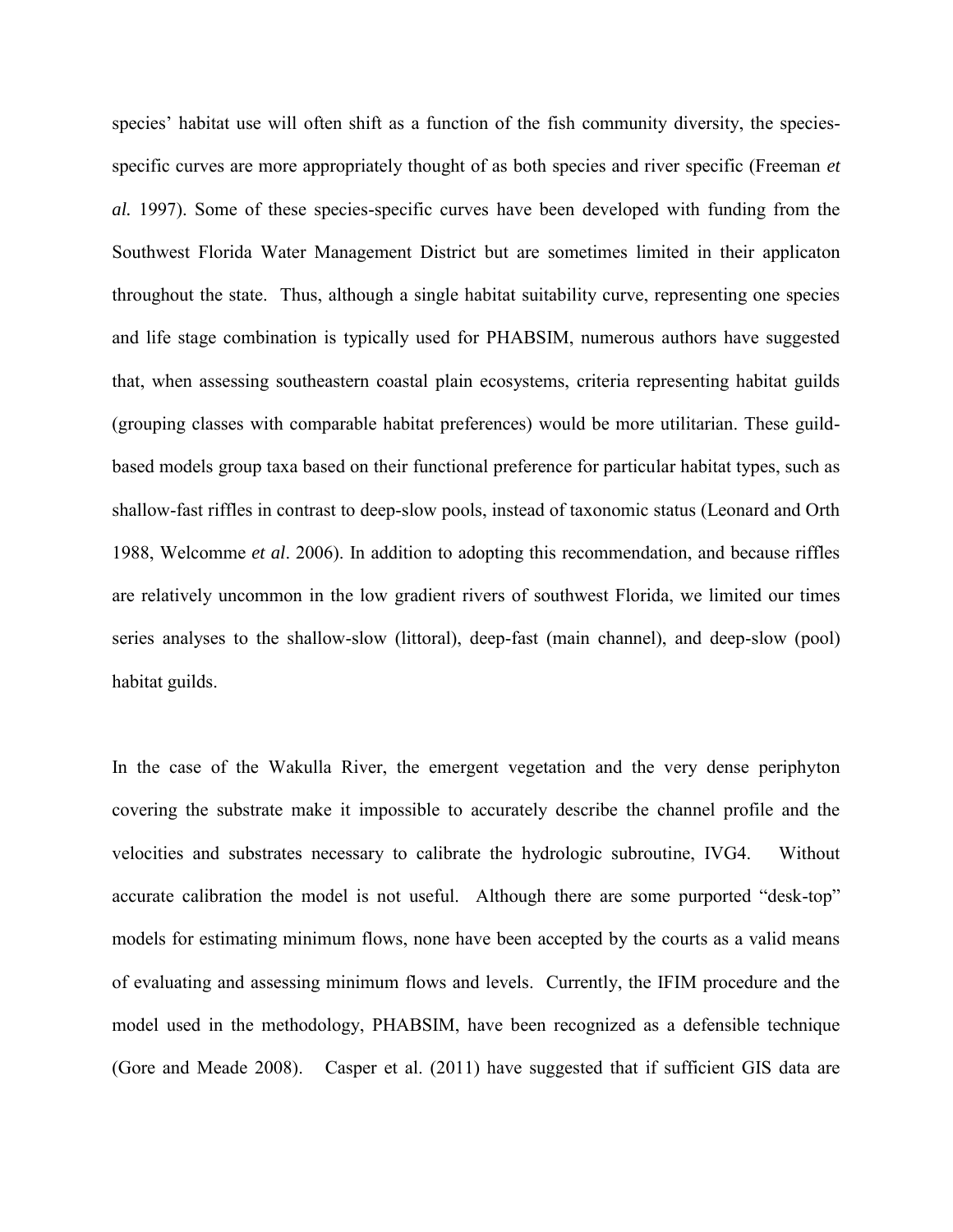species' habitat use will often shift as a function of the fish community diversity, the speciesspecific curves are more appropriately thought of as both species and river specific (Freeman *et al.* 1997). Some of these species-specific curves have been developed with funding from the Southwest Florida Water Management District but are sometimes limited in their applicaton throughout the state. Thus, although a single habitat suitability curve, representing one species and life stage combination is typically used for PHABSIM, numerous authors have suggested that, when assessing southeastern coastal plain ecosystems, criteria representing habitat guilds (grouping classes with comparable habitat preferences) would be more utilitarian. These guildbased models group taxa based on their functional preference for particular habitat types, such as shallow-fast riffles in contrast to deep-slow pools, instead of taxonomic status (Leonard and Orth 1988, Welcomme *et al*. 2006). In addition to adopting this recommendation, and because riffles are relatively uncommon in the low gradient rivers of southwest Florida, we limited our times series analyses to the shallow-slow (littoral), deep-fast (main channel), and deep-slow (pool) habitat guilds.

In the case of the Wakulla River, the emergent vegetation and the very dense periphyton covering the substrate make it impossible to accurately describe the channel profile and the velocities and substrates necessary to calibrate the hydrologic subroutine, IVG4. Without accurate calibration the model is not useful. Although there are some purported "desk-top" models for estimating minimum flows, none have been accepted by the courts as a valid means of evaluating and assessing minimum flows and levels. Currently, the IFIM procedure and the model used in the methodology, PHABSIM, have been recognized as a defensible technique (Gore and Meade 2008). Casper et al. (2011) have suggested that if sufficient GIS data are